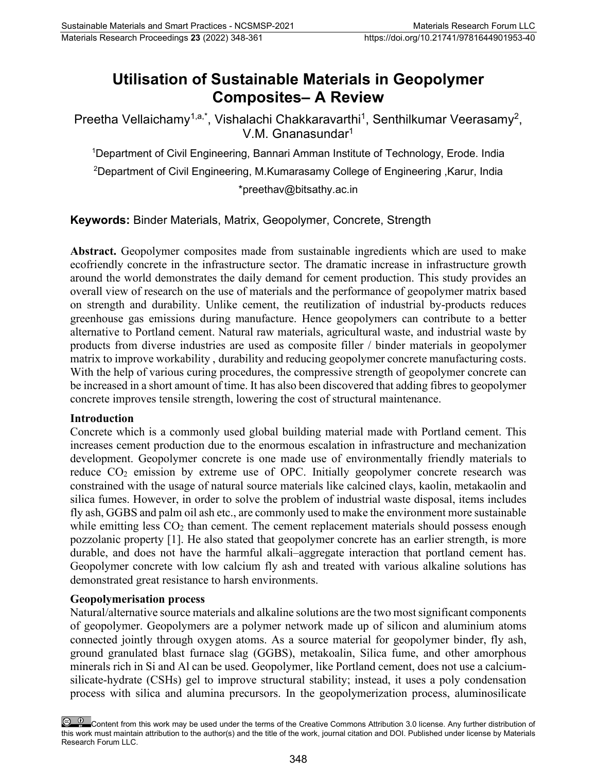# **Utilisation of Sustainable Materials in Geopolymer Composites– A Review**

Preetha Vellaichamy<sup>1,a,\*</sup>, Vishalachi Chakkaravarthi<sup>1</sup>, Senthilkumar Veerasamy<sup>2</sup>, V.M. Gnanasundar<sup>1</sup>

1 Department of Civil Engineering, Bannari Amman Institute of Technology, Erode. India

 $^2$ Department of Civil Engineering, M.Kumarasamy College of Engineering ,Karur, India [\\*preethav@bitsathy.ac.in](mailto:preethav@bitsathy.ac.in)

**Keywords:** Binder Materials, Matrix, Geopolymer, Concrete, Strength

**Abstract.** Geopolymer composites made from sustainable ingredients which are used to make ecofriendly concrete in the infrastructure sector. The dramatic increase in infrastructure growth around the world demonstrates the daily demand for cement production. This study provides an overall view of research on the use of materials and the performance of geopolymer matrix based on strength and durability. Unlike cement, the reutilization of industrial by-products reduces greenhouse gas emissions during manufacture. Hence geopolymers can contribute to a better alternative to Portland cement. Natural raw materials, agricultural waste, and industrial waste by products from diverse industries are used as composite filler / binder materials in geopolymer matrix to improve workability , durability and reducing geopolymer concrete manufacturing costs. With the help of various curing procedures, the compressive strength of geopolymer concrete can be increased in a short amount of time. It has also been discovered that adding fibres to geopolymer concrete improves tensile strength, lowering the cost of structural maintenance.

#### **Introduction**

Concrete which is a commonly used global building material made with Portland cement. This increases cement production due to the enormous escalation in infrastructure and mechanization development. Geopolymer concrete is one made use of environmentally friendly materials to reduce  $CO<sub>2</sub>$  emission by extreme use of OPC. Initially geopolymer concrete research was constrained with the usage of natural source materials like calcined clays, kaolin, metakaolin and silica fumes. However, in order to solve the problem of industrial waste disposal, items includes fly ash, GGBS and palm oil ash etc., are commonly used to make the environment more sustainable while emitting less  $CO<sub>2</sub>$  than cement. The cement replacement materials should possess enough pozzolanic property [1]. He also stated that geopolymer concrete has an earlier strength, is more durable, and does not have the harmful alkali–aggregate interaction that portland cement has. Geopolymer concrete with low calcium fly ash and treated with various alkaline solutions has demonstrated great resistance to harsh environments.

#### **Geopolymerisation process**

Natural/alternative source materials and alkaline solutions are the two most significant components of geopolymer. Geopolymers are a polymer network made up of silicon and aluminium atoms connected jointly through oxygen atoms. As a source material for geopolymer binder, fly ash, ground granulated blast furnace slag (GGBS), metakoalin, Silica fume, and other amorphous minerals rich in Si and Al can be used. Geopolymer, like Portland cement, does not use a calciumsilicate-hydrate (CSHs) gel to improve structural stability; instead, it uses a poly condensation process with silica and alumina precursors. In the geopolymerization process, aluminosilicate

Content from this work may be used under the terms of the Creative Commons Attribution 3.0 license. Any further distribution of this work must maintain attribution to the author(s) and the title of the work, journal citation and DOI. Published under license by Materials Research Forum LLC.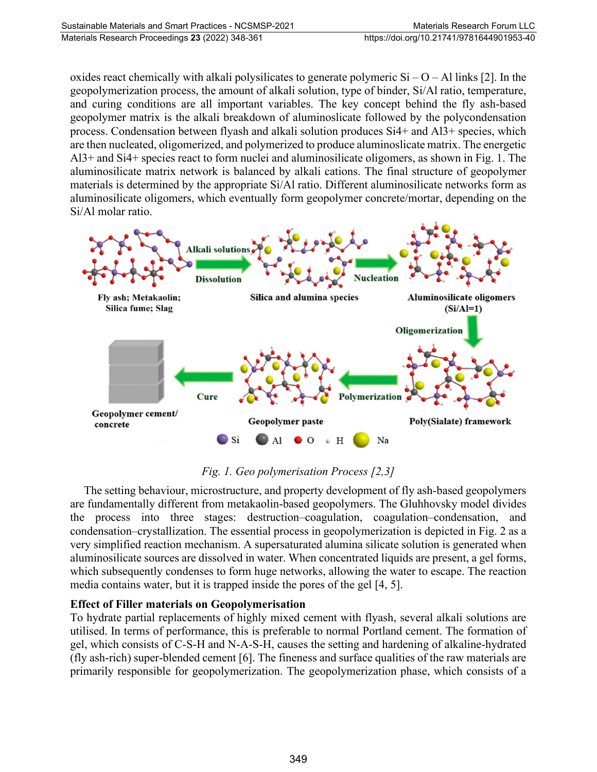oxides react chemically with alkali polysilicates to generate polymeric  $Si - O - Al$  links [2]. In the geopolymerization process, the amount of alkali solution, type of binder, Si/Al ratio, temperature, and curing conditions are all important variables. The key concept behind the fly ash-based geopolymer matrix is the alkali breakdown of aluminoslicate followed by the polycondensation process. Condensation between flyash and alkali solution produces Si4+ and Al3+ species, which are then nucleated, oligomerized, and polymerized to produce aluminoslicate matrix. The energetic Al3+ and Si4+ species react to form nuclei and aluminosilicate oligomers, as shown in Fig. 1. The aluminosilicate matrix network is balanced by alkali cations. The final structure of geopolymer materials is determined by the appropriate Si/Al ratio. Different aluminosilicate networks form as aluminosilicate oligomers, which eventually form geopolymer concrete/mortar, depending on the Si/Al molar ratio.



## *Fig. 1. Geo polymerisation Process [2,3]*

The setting behaviour, microstructure, and property development of fly ash-based geopolymers are fundamentally different from metakaolin-based geopolymers. The Gluhhovsky model divides the process into three stages: destruction–coagulation, coagulation–condensation, and condensation–crystallization. The essential process in geopolymerization is depicted in Fig. 2 as a very simplified reaction mechanism. A supersaturated alumina silicate solution is generated when aluminosilicate sources are dissolved in water. When concentrated liquids are present, a gel forms, which subsequently condenses to form huge networks, allowing the water to escape. The reaction media contains water, but it is trapped inside the pores of the gel [4, 5].

#### **Effect of Filler materials on Geopolymerisation**

To hydrate partial replacements of highly mixed cement with flyash, several alkali solutions are utilised. In terms of performance, this is preferable to normal Portland cement. The formation of gel, which consists of C-S-H and N-A-S-H, causes the setting and hardening of alkaline-hydrated (fly ash-rich) super-blended cement [6]. The fineness and surface qualities of the raw materials are primarily responsible for geopolymerization. The geopolymerization phase, which consists of a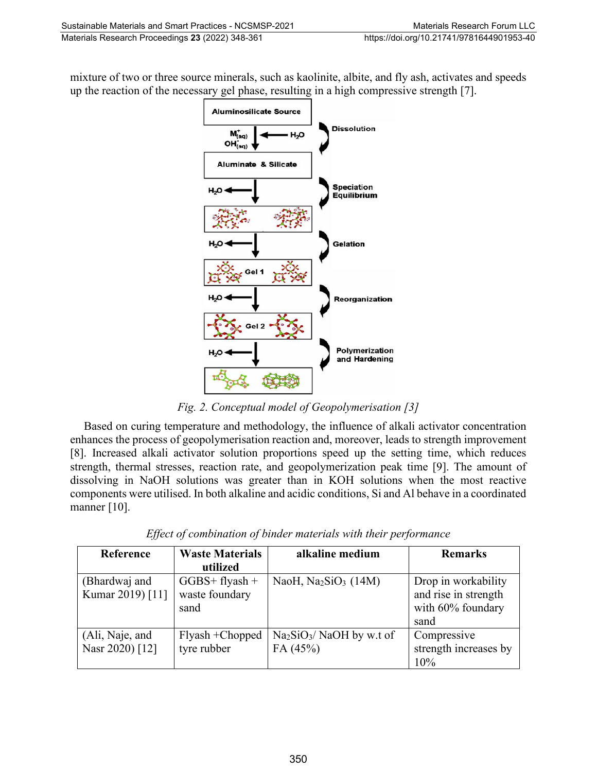mixture of two or three source minerals, such as kaolinite, albite, and fly ash, activates and speeds up the reaction of the necessary gel phase, resulting in a high compressive strength [7].



*Fig. 2. Conceptual model of Geopolymerisation [3]*

Based on curing temperature and methodology, the influence of alkali activator concentration enhances the process of geopolymerisation reaction and, moreover, leads to strength improvement [8]. Increased alkali activator solution proportions speed up the setting time, which reduces strength, thermal stresses, reaction rate, and geopolymerization peak time [9]. The amount of dissolving in NaOH solutions was greater than in KOH solutions when the most reactive components were utilised. In both alkaline and acidic conditions, Si and Al behave in a coordinated manner [10].

| Reference        | <b>Waste Materials</b> | alkaline medium                                | <b>Remarks</b>        |
|------------------|------------------------|------------------------------------------------|-----------------------|
|                  | utilized               |                                                |                       |
| (Bhardwaj and    | $GGBS+flyash +$        | NaoH, Na <sub>2</sub> SiO <sub>3</sub> $(14M)$ | Drop in workability   |
| Kumar 2019) [11] | waste foundary         |                                                | and rise in strength  |
|                  | sand                   |                                                | with 60% foundary     |
|                  |                        |                                                | sand                  |
| (Ali, Naje, and  | Flyash + Chopped       | $Na2SiO3/NaOH$ by w.t of                       | Compressive           |
| Nasr 2020) [12]  | tyre rubber            | FA (45%)                                       | strength increases by |
|                  |                        |                                                | 10%                   |

*Effect of combination of binder materials with their performance*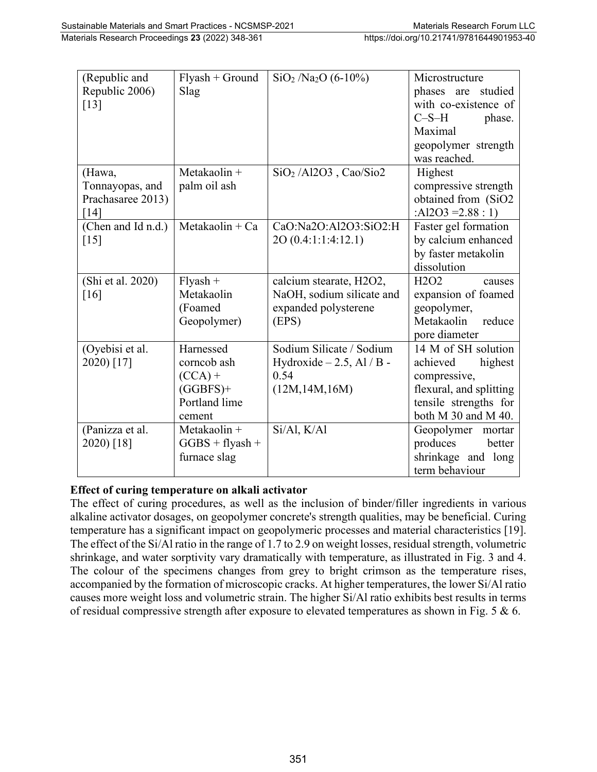| (Republic and      | $Flyash + Ground$ | $SiO2$ /Na <sub>2</sub> O (6-10%) | Microstructure                          |
|--------------------|-------------------|-----------------------------------|-----------------------------------------|
| Republic 2006)     | Slag              |                                   | phases are studied                      |
| $[13]$             |                   |                                   | with co-existence of                    |
|                    |                   |                                   | $C-S-H$<br>phase.                       |
|                    |                   |                                   | Maximal                                 |
|                    |                   |                                   | geopolymer strength                     |
|                    |                   |                                   | was reached.                            |
| (Hawa,             | Metakaolin +      | $SiO2$ /Al2O3, Cao/Sio2           | Highest                                 |
| Tonnayopas, and    | palm oil ash      |                                   | compressive strength                    |
| Prachasaree 2013)  |                   |                                   | obtained from (SiO2                     |
| [14]               |                   |                                   | :Al2O3 = $2.88:1$ )                     |
| (Chen and Id n.d.) | $Metakaolin + Ca$ | CaO:Na2O:Al2O3:SiO2:H             | Faster gel formation                    |
| $\lceil 15 \rceil$ |                   | 20 (0.4:1:1:4:12.1)               | by calcium enhanced                     |
|                    |                   |                                   | by faster metakolin                     |
|                    |                   |                                   | dissolution                             |
| (Shi et al. 2020)  | $Flyash +$        | calcium stearate, H2O2,           | H <sub>2</sub> O <sub>2</sub><br>causes |
| [16]               | Metakaolin        | NaOH, sodium silicate and         | expansion of foamed                     |
|                    | (Foamed           | expanded polysterene              | geopolymer,                             |
|                    | Geopolymer)       | (EPS)                             | Metakaolin<br>reduce                    |
|                    |                   |                                   | pore diameter                           |
| (Oyebisi et al.    | Harnessed         | Sodium Silicate / Sodium          | 14 M of SH solution                     |
| 2020) [17]         | corncob ash       | Hydroxide $-2.5$ , Al / B -       | highest<br>achieved                     |
|                    | $(CCA) +$         | 0.54                              | compressive,                            |
|                    | $(GGBFS)$ +       | (12M, 14M, 16M)                   | flexural, and splitting                 |
|                    | Portland lime     |                                   | tensile strengths for                   |
|                    | cement            |                                   | both M 30 and M 40.                     |
| (Panizza et al.    | Metakaolin +      | Si/Al, K/Al                       | Geopolymer mortar                       |
| 2020) [18]         | $GGBS + flyash +$ |                                   | produces<br>better                      |
|                    | furnace slag      |                                   | shrinkage and long                      |
|                    |                   |                                   | term behaviour                          |

## **Effect of curing temperature on alkali activator**

The effect of curing procedures, as well as the inclusion of binder/filler ingredients in various alkaline activator dosages, on geopolymer concrete's strength qualities, may be beneficial. Curing temperature has a significant impact on geopolymeric processes and material characteristics [19]. The effect of the Si/Al ratio in the range of 1.7 to 2.9 on weight losses, residual strength, volumetric shrinkage, and water sorptivity vary dramatically with temperature, as illustrated in Fig. 3 and 4. The colour of the specimens changes from grey to bright crimson as the temperature rises, accompanied by the formation of microscopic cracks. At higher temperatures, the lower Si/Al ratio causes more weight loss and volumetric strain. The higher Si/Al ratio exhibits best results in terms of residual compressive strength after exposure to elevated temperatures as shown in Fig. 5 & 6.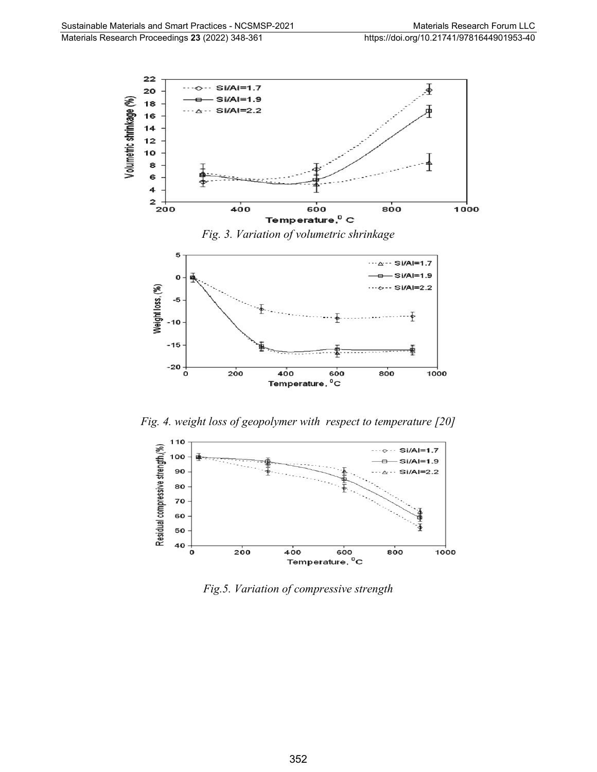

*Fig. 4. weight loss of geopolymer with respect to temperature [20]*



*Fig.5. Variation of compressive strength*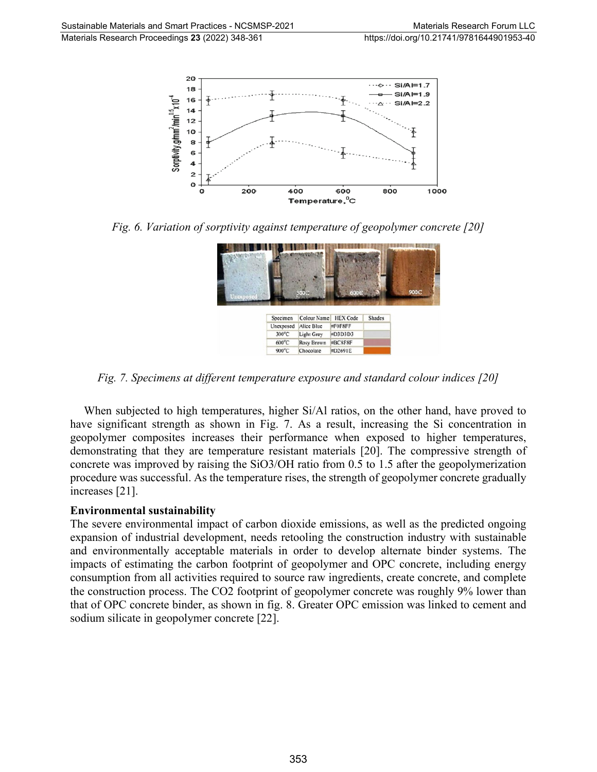

*Fig. 6. Variation of sorptivity against temperature of geopolymer concrete [20]*



*Fig. 7. Specimens at different temperature exposure and standard colour indices [20]*

When subjected to high temperatures, higher Si/Al ratios, on the other hand, have proved to have significant strength as shown in Fig. 7. As a result, increasing the Si concentration in geopolymer composites increases their performance when exposed to higher temperatures, demonstrating that they are temperature resistant materials [20]. The compressive strength of concrete was improved by raising the SiO3/OH ratio from 0.5 to 1.5 after the geopolymerization procedure was successful. As the temperature rises, the strength of geopolymer concrete gradually increases [21].

#### **Environmental sustainability**

The severe environmental impact of carbon dioxide emissions, as well as the predicted ongoing expansion of industrial development, needs retooling the construction industry with sustainable and environmentally acceptable materials in order to develop alternate binder systems. The impacts of estimating the carbon footprint of geopolymer and OPC concrete, including energy consumption from all activities required to source raw ingredients, create concrete, and complete the construction process. The CO2 footprint of geopolymer concrete was roughly 9% lower than that of OPC concrete binder, as shown in fig. 8. Greater OPC emission was linked to cement and sodium silicate in geopolymer concrete [22].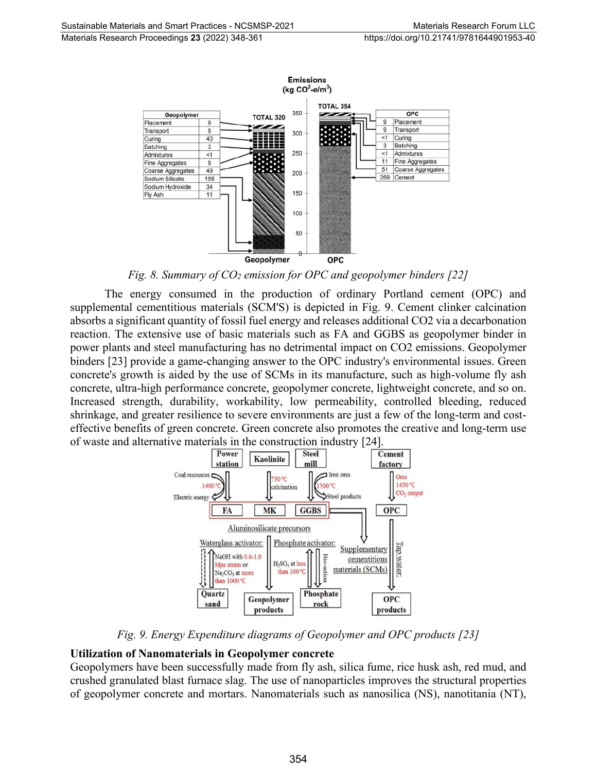

*Fig. 8. Summary of CO2 emission for OPC and geopolymer binders [22]*

The energy consumed in the production of ordinary Portland cement (OPC) and supplemental cementitious materials (SCM'S) is depicted in Fig. 9. Cement clinker calcination absorbs a significant quantity of fossil fuel energy and releases additional CO2 via a decarbonation reaction. The extensive use of basic materials such as FA and GGBS as geopolymer binder in power plants and steel manufacturing has no detrimental impact on CO2 emissions. Geopolymer binders [23] provide a game-changing answer to the OPC industry's environmental issues. Green concrete's growth is aided by the use of SCMs in its manufacture, such as high-volume fly ash concrete, ultra-high performance concrete, geopolymer concrete, lightweight concrete, and so on. Increased strength, durability, workability, low permeability, controlled bleeding, reduced shrinkage, and greater resilience to severe environments are just a few of the long-term and costeffective benefits of green concrete. Green concrete also promotes the creative and long-term use of waste and alternative materials in the construction industry [24].



*Fig. 9. Energy Expenditure diagrams of Geopolymer and OPC products [23]*

#### **Utilization of Nanomaterials in Geopolymer concrete**

Geopolymers have been successfully made from fly ash, silica fume, rice husk ash, red mud, and crushed granulated blast furnace slag. The use of nanoparticles improves the structural properties of geopolymer concrete and mortars. Nanomaterials such as nanosilica (NS), nanotitania (NT),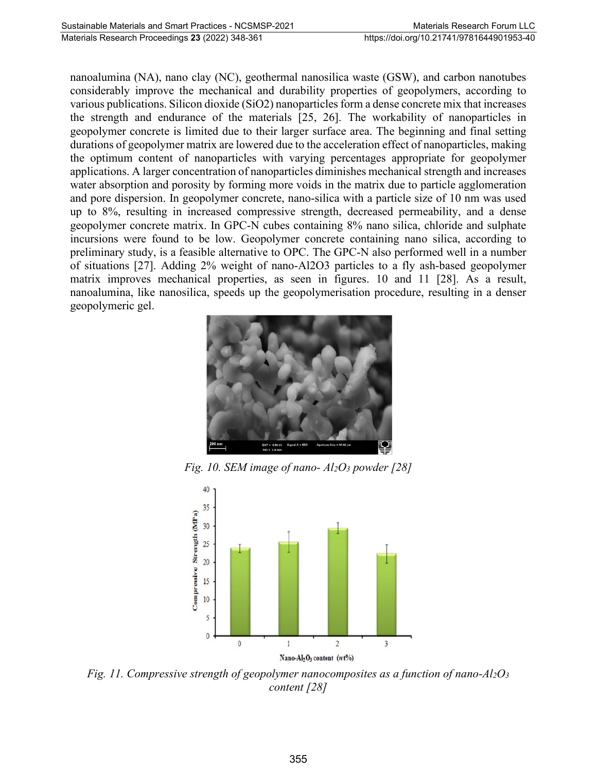nanoalumina (NA), nano clay (NC), geothermal nanosilica waste (GSW), and carbon nanotubes considerably improve the mechanical and durability properties of geopolymers, according to various publications. Silicon dioxide (SiO2) nanoparticles form a dense concrete mix that increases the strength and endurance of the materials [25, 26]. The workability of nanoparticles in geopolymer concrete is limited due to their larger surface area. The beginning and final setting durations of geopolymer matrix are lowered due to the acceleration effect of nanoparticles, making the optimum content of nanoparticles with varying percentages appropriate for geopolymer applications. A larger concentration of nanoparticles diminishes mechanical strength and increases water absorption and porosity by forming more voids in the matrix due to particle agglomeration and pore dispersion. In geopolymer concrete, nano-silica with a particle size of 10 nm was used up to 8%, resulting in increased compressive strength, decreased permeability, and a dense geopolymer concrete matrix. In GPC-N cubes containing 8% nano silica, chloride and sulphate incursions were found to be low. Geopolymer concrete containing nano silica, according to preliminary study, is a feasible alternative to OPC. The GPC-N also performed well in a number of situations [27]. Adding 2% weight of nano-Al2O3 particles to a fly ash-based geopolymer matrix improves mechanical properties, as seen in figures. 10 and 11 [28]. As a result, nanoalumina, like nanosilica, speeds up the geopolymerisation procedure, resulting in a denser geopolymeric gel.



*Fig. 10. SEM image of nano-*  $Al_2O_3$  *powder* [28]



*Fig. 11. Compressive strength of geopolymer nanocomposites as a function of nano-Al2O3 content [28]*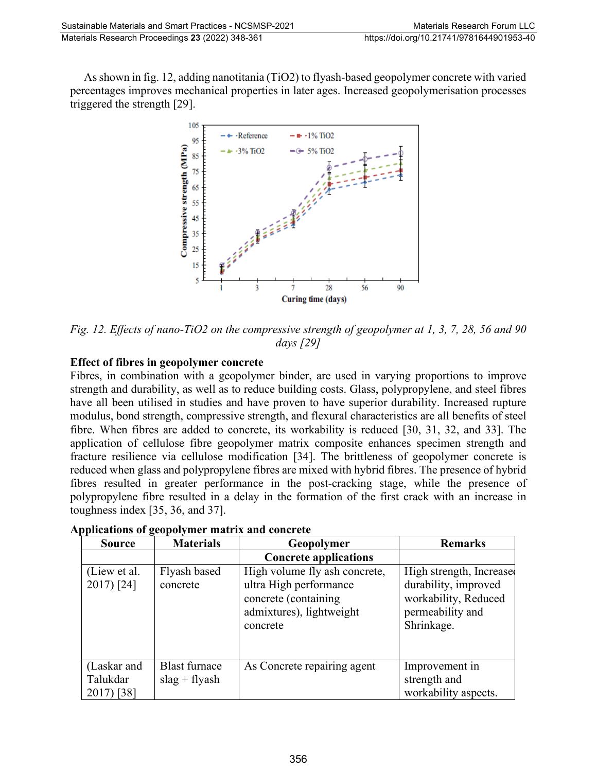As shown in fig. 12, adding nanotitania (TiO2) to flyash-based geopolymer concrete with varied percentages improves mechanical properties in later ages. Increased geopolymerisation processes triggered the strength [29].



*Fig. 12. Effects of nano-TiO2 on the compressive strength of geopolymer at 1, 3, 7, 28, 56 and 90 days [29]*

### **Effect of fibres in geopolymer concrete**

Fibres, in combination with a geopolymer binder, are used in varying proportions to improve strength and durability, as well as to reduce building costs. Glass, polypropylene, and steel fibres have all been utilised in studies and have proven to have superior durability. Increased rupture modulus, bond strength, compressive strength, and flexural characteristics are all benefits of steel fibre. When fibres are added to concrete, its workability is reduced [30, 31, 32, and 33]. The application of cellulose fibre geopolymer matrix composite enhances specimen strength and fracture resilience via cellulose modification [34]. The brittleness of geopolymer concrete is reduced when glass and polypropylene fibres are mixed with hybrid fibres. The presence of hybrid fibres resulted in greater performance in the post-cracking stage, while the presence of polypropylene fibre resulted in a delay in the formation of the first crack with an increase in toughness index [35, 36, and 37].

| <b>Source</b>                         | <b>Materials</b>                        | Geopolymer                                                                                                              | <b>Remarks</b>                                                                                            |
|---------------------------------------|-----------------------------------------|-------------------------------------------------------------------------------------------------------------------------|-----------------------------------------------------------------------------------------------------------|
|                                       |                                         | <b>Concrete applications</b>                                                                                            |                                                                                                           |
| (Liew et al.<br>$2017$ ) [24]         | Flyash based<br>concrete                | High volume fly ash concrete,<br>ultra High performance<br>concrete (containing<br>admixtures), lightweight<br>concrete | High strength, Increase<br>durability, improved<br>workability, Reduced<br>permeability and<br>Shrinkage. |
| (Laskar and<br>Talukdar<br>2017) [38] | <b>Blast furnace</b><br>$slag + flyash$ | As Concrete repairing agent                                                                                             | Improvement in<br>strength and<br>workability aspects.                                                    |

| Applications of geopolymer matrix and concrete |
|------------------------------------------------|
|------------------------------------------------|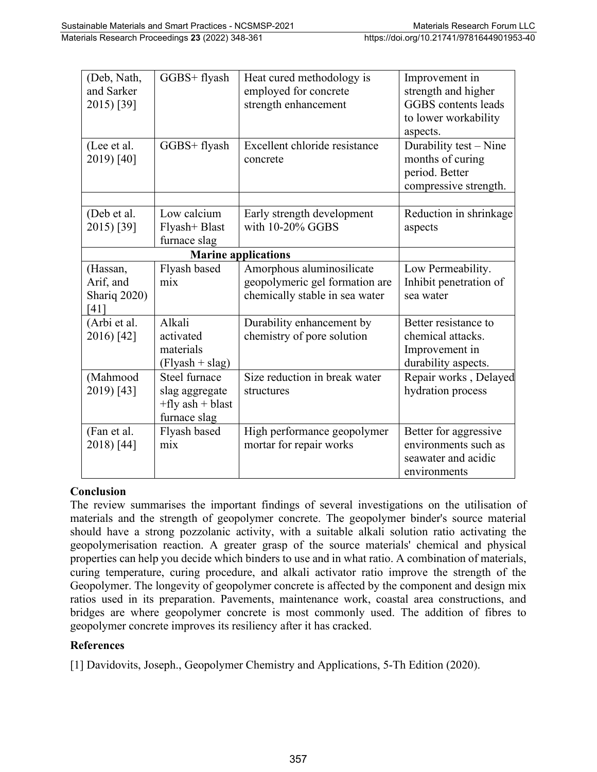| (Deb, Nath,<br>and Sarker<br>2015) [39]       | GGBS+ flyash                                                            | Heat cured methodology is<br>employed for concrete<br>strength enhancement                    | Improvement in<br>strength and higher<br>GGBS contents leads<br>to lower workability<br>aspects. |
|-----------------------------------------------|-------------------------------------------------------------------------|-----------------------------------------------------------------------------------------------|--------------------------------------------------------------------------------------------------|
| (Lee et al.<br>2019) [40]                     | GGBS+ flyash                                                            | Excellent chloride resistance<br>concrete                                                     | Durability test - Nine<br>months of curing<br>period. Better<br>compressive strength.            |
| (Deb et al.<br>2015) [39]                     | Low calcium<br>Flyash+ Blast<br>furnace slag                            | Early strength development<br>with 10-20% GGBS                                                | Reduction in shrinkage<br>aspects                                                                |
|                                               |                                                                         |                                                                                               |                                                                                                  |
| (Hassan,<br>Arif, and<br>Shariq 2020)<br>[41] | Flyash based<br>mix                                                     | Amorphous aluminosilicate<br>geopolymeric gel formation are<br>chemically stable in sea water | Low Permeability.<br>Inhibit penetration of<br>sea water                                         |
| (Arbi et al.<br>2016) [42]                    | Alkali<br>activated<br>materials<br>$(Flyash + slag)$                   | Durability enhancement by<br>chemistry of pore solution                                       | Better resistance to<br>chemical attacks.<br>Improvement in<br>durability aspects.               |
| (Mahmood<br>2019) [43]                        | Steel furnace<br>slag aggregate<br>$+fly$ ash $+bl$ ast<br>furnace slag | Size reduction in break water<br>structures                                                   | Repair works, Delayed<br>hydration process                                                       |
| (Fan et al.<br>2018) [44]                     | Flyash based<br>mix                                                     | High performance geopolymer<br>mortar for repair works                                        | Better for aggressive<br>environments such as<br>seawater and acidic<br>environments             |

#### **Conclusion**

The review summarises the important findings of several investigations on the utilisation of materials and the strength of geopolymer concrete. The geopolymer binder's source material should have a strong pozzolanic activity, with a suitable alkali solution ratio activating the geopolymerisation reaction. A greater grasp of the source materials' chemical and physical properties can help you decide which binders to use and in what ratio. A combination of materials, curing temperature, curing procedure, and alkali activator ratio improve the strength of the Geopolymer. The longevity of geopolymer concrete is affected by the component and design mix ratios used in its preparation. Pavements, maintenance work, coastal area constructions, and bridges are where geopolymer concrete is most commonly used. The addition of fibres to geopolymer concrete improves its resiliency after it has cracked.

#### **References**

[1] Davidovits, Joseph., Geopolymer Chemistry and Applications, 5-Th Edition (2020).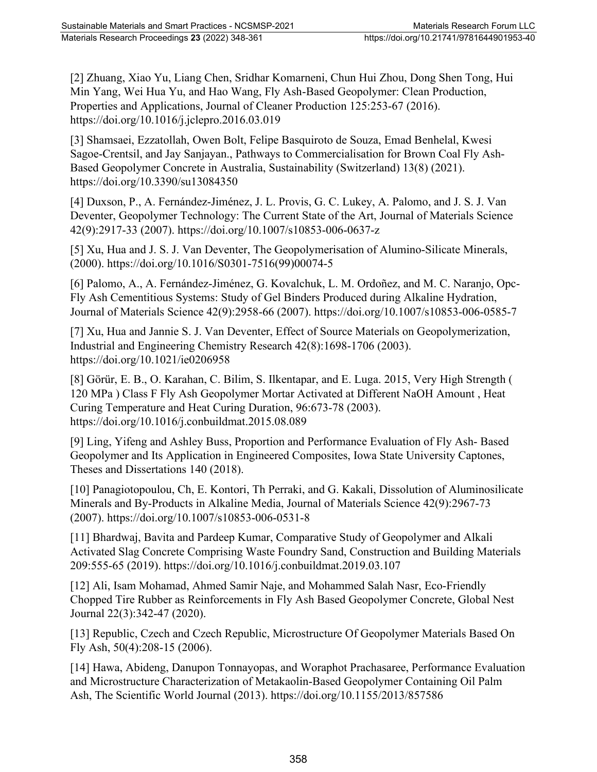[2] Zhuang, Xiao Yu, Liang Chen, Sridhar Komarneni, Chun Hui Zhou, Dong Shen Tong, Hui Min Yang, Wei Hua Yu, and Hao Wang, Fly Ash-Based Geopolymer: Clean Production, Properties and Applications, Journal of Cleaner Production 125:253-67 (2016). https://doi.org/10.1016/j.jclepro.2016.03.019

[3] Shamsaei, Ezzatollah, Owen Bolt, Felipe Basquiroto de Souza, Emad Benhelal, Kwesi Sagoe-Crentsil, and Jay Sanjayan., Pathways to Commercialisation for Brown Coal Fly Ash-Based Geopolymer Concrete in Australia, Sustainability (Switzerland) 13(8) (2021). https://doi.org/10.3390/su13084350

[4] Duxson, P., A. Fernández-Jiménez, J. L. Provis, G. C. Lukey, A. Palomo, and J. S. J. Van Deventer, Geopolymer Technology: The Current State of the Art, Journal of Materials Science 42(9):2917-33 (2007). https://doi.org/10.1007/s10853-006-0637-z

[5] Xu, Hua and J. S. J. Van Deventer, The Geopolymerisation of Alumino-Silicate Minerals, (2000). https://doi.org/10.1016/S0301-7516(99)00074-5

[6] Palomo, A., A. Fernández-Jiménez, G. Kovalchuk, L. M. Ordoñez, and M. C. Naranjo, Opc-Fly Ash Cementitious Systems: Study of Gel Binders Produced during Alkaline Hydration, Journal of Materials Science 42(9):2958-66 (2007). https://doi.org/10.1007/s10853-006-0585-7

[7] Xu, Hua and Jannie S. J. Van Deventer, Effect of Source Materials on Geopolymerization, Industrial and Engineering Chemistry Research 42(8):1698-1706 (2003). https://doi.org/10.1021/ie0206958

[8] Görür, E. B., O. Karahan, C. Bilim, S. Ilkentapar, and E. Luga. 2015, Very High Strength ( 120 MPa ) Class F Fly Ash Geopolymer Mortar Activated at Different NaOH Amount , Heat Curing Temperature and Heat Curing Duration, 96:673-78 (2003). https://doi.org/10.1016/j.conbuildmat.2015.08.089

[9] Ling, Yifeng and Ashley Buss, Proportion and Performance Evaluation of Fly Ash- Based Geopolymer and Its Application in Engineered Composites, Iowa State University Captones, Theses and Dissertations 140 (2018).

[10] Panagiotopoulou, Ch, E. Kontori, Th Perraki, and G. Kakali, Dissolution of Aluminosilicate Minerals and By-Products in Alkaline Media, Journal of Materials Science 42(9):2967-73 (2007). https://doi.org/10.1007/s10853-006-0531-8

[11] Bhardwaj, Bavita and Pardeep Kumar, Comparative Study of Geopolymer and Alkali Activated Slag Concrete Comprising Waste Foundry Sand, Construction and Building Materials 209:555-65 (2019). https://doi.org/10.1016/j.conbuildmat.2019.03.107

[12] Ali, Isam Mohamad, Ahmed Samir Naje, and Mohammed Salah Nasr, Eco-Friendly Chopped Tire Rubber as Reinforcements in Fly Ash Based Geopolymer Concrete, Global Nest Journal 22(3):342-47 (2020).

[13] Republic, Czech and Czech Republic, Microstructure Of Geopolymer Materials Based On Fly Ash, 50(4):208-15 (2006).

[14] Hawa, Abideng, Danupon Tonnayopas, and Woraphot Prachasaree, Performance Evaluation and Microstructure Characterization of Metakaolin-Based Geopolymer Containing Oil Palm Ash, The Scientific World Journal (2013). https://doi.org/10.1155/2013/857586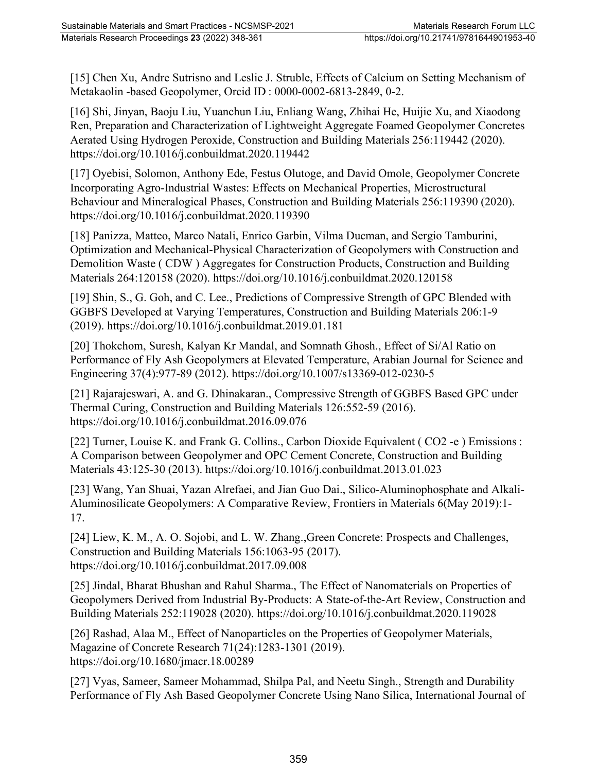[15] Chen Xu, Andre Sutrisno and Leslie J. Struble, Effects of Calcium on Setting Mechanism of Metakaolin -based Geopolymer, Orcid ID : 0000-0002-6813-2849, 0-2.

[16] Shi, Jinyan, Baoju Liu, Yuanchun Liu, Enliang Wang, Zhihai He, Huijie Xu, and Xiaodong Ren, Preparation and Characterization of Lightweight Aggregate Foamed Geopolymer Concretes Aerated Using Hydrogen Peroxide, Construction and Building Materials 256:119442 (2020). https://doi.org/10.1016/j.conbuildmat.2020.119442

[17] Oyebisi, Solomon, Anthony Ede, Festus Olutoge, and David Omole, Geopolymer Concrete Incorporating Agro-Industrial Wastes: Effects on Mechanical Properties, Microstructural Behaviour and Mineralogical Phases, Construction and Building Materials 256:119390 (2020). https://doi.org/10.1016/j.conbuildmat.2020.119390

[18] Panizza, Matteo, Marco Natali, Enrico Garbin, Vilma Ducman, and Sergio Tamburini, Optimization and Mechanical-Physical Characterization of Geopolymers with Construction and Demolition Waste ( CDW ) Aggregates for Construction Products, Construction and Building Materials 264:120158 (2020). https://doi.org/10.1016/j.conbuildmat.2020.120158

[19] Shin, S., G. Goh, and C. Lee., Predictions of Compressive Strength of GPC Blended with GGBFS Developed at Varying Temperatures, Construction and Building Materials 206:1-9 (2019). https://doi.org/10.1016/j.conbuildmat.2019.01.181

[20] Thokchom, Suresh, Kalyan Kr Mandal, and Somnath Ghosh., Effect of Si/Al Ratio on Performance of Fly Ash Geopolymers at Elevated Temperature, Arabian Journal for Science and Engineering 37(4):977-89 (2012). https://doi.org/10.1007/s13369-012-0230-5

[21] Rajarajeswari, A. and G. Dhinakaran., Compressive Strength of GGBFS Based GPC under Thermal Curing, Construction and Building Materials 126:552-59 (2016). https://doi.org/10.1016/j.conbuildmat.2016.09.076

[22] Turner, Louise K. and Frank G. Collins., Carbon Dioxide Equivalent ( CO2 -e ) Emissions : A Comparison between Geopolymer and OPC Cement Concrete, Construction and Building Materials 43:125-30 (2013). https://doi.org/10.1016/j.conbuildmat.2013.01.023

[23] Wang, Yan Shuai, Yazan Alrefaei, and Jian Guo Dai., Silico-Aluminophosphate and Alkali-Aluminosilicate Geopolymers: A Comparative Review, Frontiers in Materials 6(May 2019):1- 17.

[24] Liew, K. M., A. O. Sojobi, and L. W. Zhang.,Green Concrete: Prospects and Challenges, Construction and Building Materials 156:1063-95 (2017). https://doi.org/10.1016/j.conbuildmat.2017.09.008

[25] Jindal, Bharat Bhushan and Rahul Sharma., The Effect of Nanomaterials on Properties of Geopolymers Derived from Industrial By-Products: A State-of-the-Art Review, Construction and Building Materials 252:119028 (2020). https://doi.org/10.1016/j.conbuildmat.2020.119028

[26] Rashad, Alaa M., Effect of Nanoparticles on the Properties of Geopolymer Materials, Magazine of Concrete Research 71(24):1283-1301 (2019). https://doi.org/10.1680/jmacr.18.00289

[27] Vyas, Sameer, Sameer Mohammad, Shilpa Pal, and Neetu Singh., Strength and Durability Performance of Fly Ash Based Geopolymer Concrete Using Nano Silica, International Journal of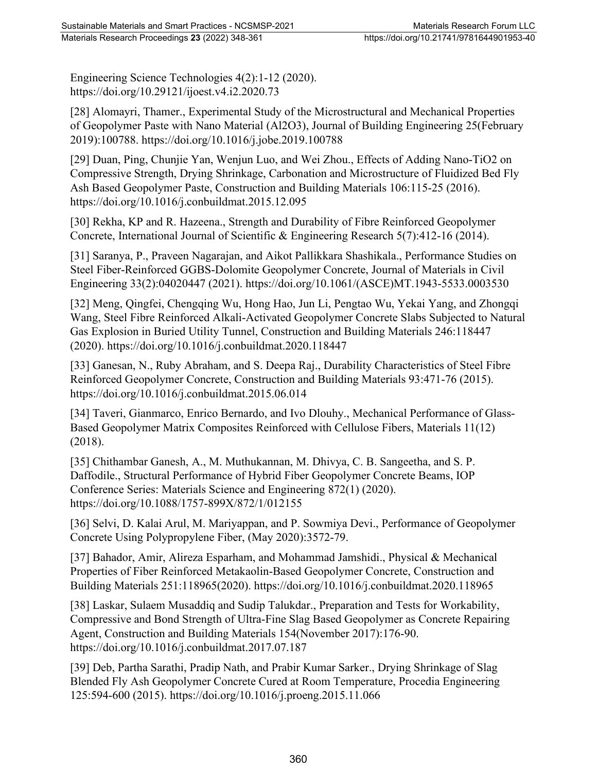Engineering Science Technologies 4(2):1-12 (2020). https://doi.org/10.29121/ijoest.v4.i2.2020.73

[28] Alomayri, Thamer., Experimental Study of the Microstructural and Mechanical Properties of Geopolymer Paste with Nano Material (Al2O3), Journal of Building Engineering 25(February 2019):100788. https://doi.org/10.1016/j.jobe.2019.100788

[29] Duan, Ping, Chunjie Yan, Wenjun Luo, and Wei Zhou., Effects of Adding Nano-TiO2 on Compressive Strength, Drying Shrinkage, Carbonation and Microstructure of Fluidized Bed Fly Ash Based Geopolymer Paste, Construction and Building Materials 106:115-25 (2016). https://doi.org/10.1016/j.conbuildmat.2015.12.095

[30] Rekha, KP and R. Hazeena., Strength and Durability of Fibre Reinforced Geopolymer Concrete, International Journal of Scientific & Engineering Research 5(7):412-16 (2014).

[31] Saranya, P., Praveen Nagarajan, and Aikot Pallikkara Shashikala., Performance Studies on Steel Fiber-Reinforced GGBS-Dolomite Geopolymer Concrete, Journal of Materials in Civil Engineering 33(2):04020447 (2021). https://doi.org/10.1061/(ASCE)MT.1943-5533.0003530

[32] Meng, Qingfei, Chengqing Wu, Hong Hao, Jun Li, Pengtao Wu, Yekai Yang, and Zhongqi Wang, Steel Fibre Reinforced Alkali-Activated Geopolymer Concrete Slabs Subjected to Natural Gas Explosion in Buried Utility Tunnel, Construction and Building Materials 246:118447 (2020). https://doi.org/10.1016/j.conbuildmat.2020.118447

[33] Ganesan, N., Ruby Abraham, and S. Deepa Raj., Durability Characteristics of Steel Fibre Reinforced Geopolymer Concrete, Construction and Building Materials 93:471-76 (2015). https://doi.org/10.1016/j.conbuildmat.2015.06.014

[34] Taveri, Gianmarco, Enrico Bernardo, and Ivo Dlouhy., Mechanical Performance of Glass-Based Geopolymer Matrix Composites Reinforced with Cellulose Fibers, Materials 11(12) (2018).

[35] Chithambar Ganesh, A., M. Muthukannan, M. Dhivya, C. B. Sangeetha, and S. P. Daffodile., Structural Performance of Hybrid Fiber Geopolymer Concrete Beams, IOP Conference Series: Materials Science and Engineering 872(1) (2020). https://doi.org/10.1088/1757-899X/872/1/012155

[36] Selvi, D. Kalai Arul, M. Mariyappan, and P. Sowmiya Devi., Performance of Geopolymer Concrete Using Polypropylene Fiber, (May 2020):3572-79.

[37] Bahador, Amir, Alireza Esparham, and Mohammad Jamshidi., Physical & Mechanical Properties of Fiber Reinforced Metakaolin-Based Geopolymer Concrete, Construction and Building Materials 251:118965(2020). https://doi.org/10.1016/j.conbuildmat.2020.118965

[38] Laskar, Sulaem Musaddiq and Sudip Talukdar., Preparation and Tests for Workability, Compressive and Bond Strength of Ultra-Fine Slag Based Geopolymer as Concrete Repairing Agent, Construction and Building Materials 154(November 2017):176-90. https://doi.org/10.1016/j.conbuildmat.2017.07.187

[39] Deb, Partha Sarathi, Pradip Nath, and Prabir Kumar Sarker., Drying Shrinkage of Slag Blended Fly Ash Geopolymer Concrete Cured at Room Temperature, Procedia Engineering 125:594-600 (2015). https://doi.org/10.1016/j.proeng.2015.11.066